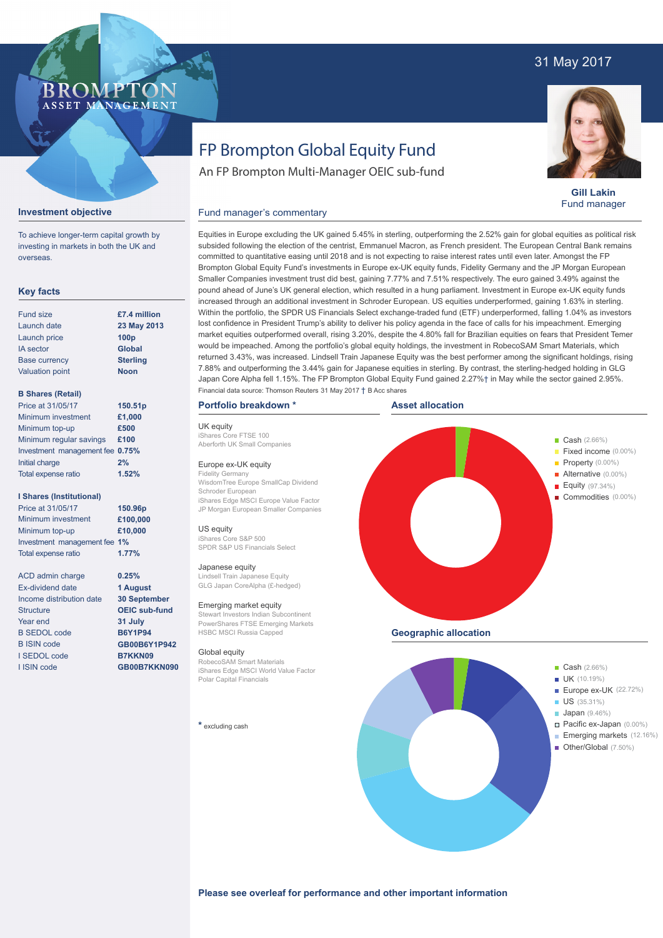### 31 May 2017

#### **BROMP** ASSET MANAGEMENT

# FP Brompton Global Equity Fund

An FP Brompton Multi-Manager OEIC sub-fund



**Gill Lakin** Fund manager

#### Fund manager's commentary



To achieve longer-term capital growth by investing in markets in both the UK and overseas.

#### **Key facts**

| <b>Fund size</b>       | £7.4 million     |
|------------------------|------------------|
| Launch date            | 23 May 2013      |
| Launch price           | 100 <sub>p</sub> |
| <b>IA</b> sector       | <b>Global</b>    |
| <b>Base currency</b>   | <b>Sterling</b>  |
| <b>Valuation point</b> | <b>Noon</b>      |
|                        |                  |

#### **B Shares (Retail)**

| Price at 31/05/17               | 150.51p |
|---------------------------------|---------|
| Minimum investment              | £1,000  |
| Minimum top-up                  | £500    |
| Minimum regular savings         | £100    |
| Investment management fee 0.75% |         |
| Initial charge                  | 2%      |
| Total expense ratio             | 1.52%   |
|                                 |         |

#### **I Shares (Institutional)**

| Price at 31/05/17            | 150.96p  |
|------------------------------|----------|
| Minimum investment           | £100,000 |
| Minimum top-up               | £10,000  |
| Investment management fee 1% |          |
| Total expense ratio          | 1.77%    |

**0.25% 1 August 30 September OEIC sub-fund 31 July B6Y1P94 GB00B6Y1P942 B7KKN09 GB00B7KKN090**

| ACD admin charge         |
|--------------------------|
| Ex-dividend date         |
| Income distribution date |
| <b>Structure</b>         |
| Year end                 |
| <b>B SEDOL code</b>      |
| <b>B ISIN code</b>       |
| I SEDOL code             |
| I ISIN code              |

Equities in Europe excluding the UK gained 5.45% in sterling, outperforming the 2.52% gain for global equities as political risk subsided following the election of the centrist, Emmanuel Macron, as French president. The European Central Bank remains committed to quantitative easing until 2018 and is not expecting to raise interest rates until even later. Amongst the FP Brompton Global Equity Fund's investments in Europe ex-UK equity funds, Fidelity Germany and the JP Morgan European Smaller Companies investment trust did best, gaining 7.77% and 7.51% respectively. The euro gained 3.49% against the pound ahead of June's UK general election, which resulted in a hung parliament. Investment in Europe ex-UK equity funds increased through an additional investment in Schroder European. US equities underperformed, gaining 1.63% in sterling. Within the portfolio, the SPDR US Financials Select exchange-traded fund (ETF) underperformed, falling 1.04% as investors lost confidence in President Trump's ability to deliver his policy agenda in the face of calls for his impeachment. Emerging market equities outperformed overall, rising 3.20%, despite the 4.80% fall for Brazilian equities on fears that President Temer would be impeached. Among the portfolio's global equity holdings, the investment in RobecoSAM Smart Materials, which returned 3.43%, was increased. Lindsell Train Japanese Equity was the best performer among the significant holdings, rising 7.88% and outperforming the 3.44% gain for Japanese equities in sterling. By contrast, the sterling-hedged holding in GLG Japan Core Alpha fell 1.15%. The FP Brompton Global Equity Fund gained 2.27%† in May while the sector gained 2.95%. Financial data source: Thomson Reuters 31 May 2017 † B Acc shares

#### **Portfolio breakdown \***

UK equity iShares Core FTSE 100 Aberforth UK Small Companies

#### Europe ex-UK equity

Fidelity Germany WisdomTree Europe SmallCap Dividend Schroder European iShares Edge MSCI Europe Value Factor JP Morgan European Smaller Companies

#### US equity

iShares Core S&P 500 SPDR S&P US Financials Select

#### Japanese equity

Lindsell Train Japanese Equity GLG Japan CoreAlpha (£-hedged)

#### Emerging market equity

Stewart Investors Indian Subcontinent PowerShares FTSE Emerging Markets HSBC MSCI Russia Capped

#### Global equity

RobecoSAM Smart Materials iShares Edge MSCI World Value Factor Polar Capital Financials

#### **\*** excluding cash



- Europe ex-UK (22.72%)
- US (35.31%)
- **Japan** (9.46%)
	- Pacific ex-Japan (0.00%)
	- Emerging markets (12.16%)
- Other/Global (7.50%)